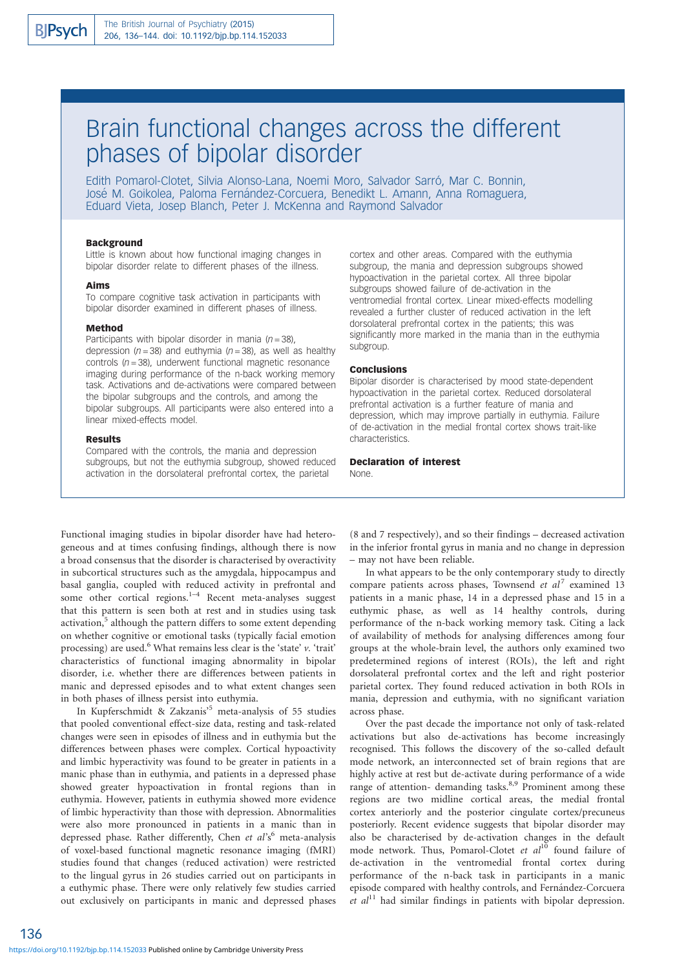# Brain functional changes across the different phases of bipolar disorder

Edith Pomarol-Clotet, Silvia Alonso-Lana, Noemi Moro, Salvador Sarró, Mar C. Bonnin, José M. Goikolea, Paloma Fernández-Corcuera, Benedikt L. Amann, Anna Romaguera, Eduard Vieta, Josep Blanch, Peter J. McKenna and Raymond Salvador

#### Background

Little is known about how functional imaging changes in bipolar disorder relate to different phases of the illness.

#### Aims

To compare cognitive task activation in participants with bipolar disorder examined in different phases of illness.

#### Method

Participants with bipolar disorder in mania  $(n=38)$ . depression ( $n = 38$ ) and euthymia ( $n = 38$ ), as well as healthy controls  $(n = 38)$ , underwent functional magnetic resonance imaging during performance of the n-back working memory task. Activations and de-activations were compared between the bipolar subgroups and the controls, and among the bipolar subgroups. All participants were also entered into a linear mixed-effects model.

#### Results

Compared with the controls, the mania and depression subgroups, but not the euthymia subgroup, showed reduced activation in the dorsolateral prefrontal cortex, the parietal

cortex and other areas. Compared with the euthymia subgroup, the mania and depression subgroups showed hypoactivation in the parietal cortex. All three bipolar subgroups showed failure of de-activation in the ventromedial frontal cortex. Linear mixed-effects modelling revealed a further cluster of reduced activation in the left dorsolateral prefrontal cortex in the patients; this was significantly more marked in the mania than in the euthymia subgroup.

#### Conclusions

Bipolar disorder is characterised by mood state-dependent hypoactivation in the parietal cortex. Reduced dorsolateral prefrontal activation is a further feature of mania and depression, which may improve partially in euthymia. Failure of de-activation in the medial frontal cortex shows trait-like characteristics.

# Declaration of interest

None.

Functional imaging studies in bipolar disorder have had heterogeneous and at times confusing findings, although there is now a broad consensus that the disorder is characterised by overactivity in subcortical structures such as the amygdala, hippocampus and basal ganglia, coupled with reduced activity in prefrontal and some other cortical regions.<sup>1–4</sup> Recent meta-analyses suggest that this pattern is seen both at rest and in studies using task activation,<sup>5</sup> although the pattern differs to some extent depending on whether cognitive or emotional tasks (typically facial emotion processing) are used.<sup>6</sup> What remains less clear is the 'state'  $\nu$ . 'trait' characteristics of functional imaging abnormality in bipolar disorder, i.e. whether there are differences between patients in manic and depressed episodes and to what extent changes seen in both phases of illness persist into euthymia.

In Kupferschmidt & Zakzanis'5 meta-analysis of 55 studies that pooled conventional effect-size data, resting and task-related changes were seen in episodes of illness and in euthymia but the differences between phases were complex. Cortical hypoactivity and limbic hyperactivity was found to be greater in patients in a manic phase than in euthymia, and patients in a depressed phase showed greater hypoactivation in frontal regions than in euthymia. However, patients in euthymia showed more evidence of limbic hyperactivity than those with depression. Abnormalities were also more pronounced in patients in a manic than in depressed phase. Rather differently, Chen et  $al$ 's<sup>6</sup> meta-analysis of voxel-based functional magnetic resonance imaging (fMRI) studies found that changes (reduced activation) were restricted to the lingual gyrus in 26 studies carried out on participants in a euthymic phase. There were only relatively few studies carried out exclusively on participants in manic and depressed phases

(8 and 7 respectively), and so their findings – decreased activation in the inferior frontal gyrus in mania and no change in depression – may not have been reliable.

In what appears to be the only contemporary study to directly compare patients across phases, Townsend et  $al^7$  examined 13 patients in a manic phase, 14 in a depressed phase and 15 in a euthymic phase, as well as 14 healthy controls, during performance of the n-back working memory task. Citing a lack of availability of methods for analysing differences among four groups at the whole-brain level, the authors only examined two predetermined regions of interest (ROIs), the left and right dorsolateral prefrontal cortex and the left and right posterior parietal cortex. They found reduced activation in both ROIs in mania, depression and euthymia, with no significant variation across phase.

Over the past decade the importance not only of task-related activations but also de-activations has become increasingly recognised. This follows the discovery of the so-called default mode network, an interconnected set of brain regions that are highly active at rest but de-activate during performance of a wide range of attention- demanding tasks.<sup>8,9</sup> Prominent among these regions are two midline cortical areas, the medial frontal cortex anteriorly and the posterior cingulate cortex/precuneus posteriorly. Recent evidence suggests that bipolar disorder may also be characterised by de-activation changes in the default mode network. Thus, Pomarol-Clotet et  $al^{10}$  found failure of de-activation in the ventromedial frontal cortex during performance of the n-back task in participants in a manic episode compared with healthy controls, and Fernández-Corcuera et  $al<sup>11</sup>$  had similar findings in patients with bipolar depression.

136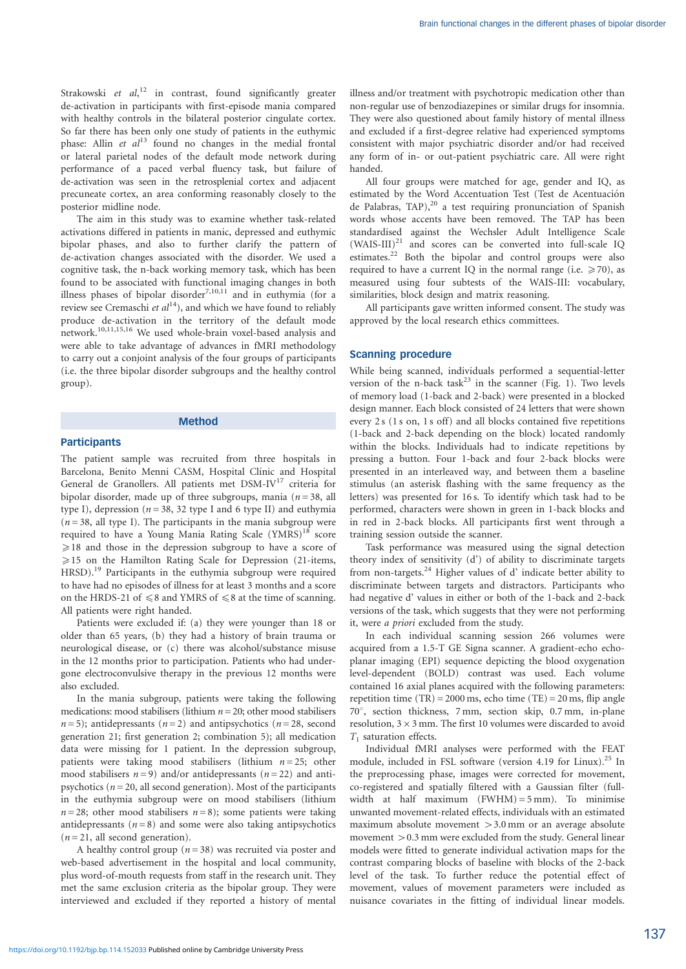Strakowski et al,<sup>12</sup> in contrast, found significantly greater de-activation in participants with first-episode mania compared with healthy controls in the bilateral posterior cingulate cortex. So far there has been only one study of patients in the euthymic phase: Allin et  $al^{13}$  found no changes in the medial frontal or lateral parietal nodes of the default mode network during performance of a paced verbal fluency task, but failure of de-activation was seen in the retrosplenial cortex and adjacent precuneate cortex, an area conforming reasonably closely to the posterior midline node.

The aim in this study was to examine whether task-related activations differed in patients in manic, depressed and euthymic bipolar phases, and also to further clarify the pattern of de-activation changes associated with the disorder. We used a cognitive task, the n-back working memory task, which has been found to be associated with functional imaging changes in both illness phases of bipolar disorder<sup>7,10,11</sup> and in euthymia (for a review see Cremaschi et  $al^{14}$ ), and which we have found to reliably produce de-activation in the territory of the default mode network.10,11,15,16 We used whole-brain voxel-based analysis and were able to take advantage of advances in fMRI methodology to carry out a conjoint analysis of the four groups of participants (i.e. the three bipolar disorder subgroups and the healthy control group).

## Method

## **Participants**

The patient sample was recruited from three hospitals in Barcelona, Benito Menni CASM, Hospital Clínic and Hospital General de Granollers. All patients met DSM-IV<sup>17</sup> criteria for bipolar disorder, made up of three subgroups, mania ( $n = 38$ , all type I), depression ( $n = 38$ , 32 type I and 6 type II) and euthymia  $(n=38,$  all type I). The participants in the mania subgroup were required to have a Young Mania Rating Scale (YMRS)<sup>18</sup> score  $\geq$  18 and those in the depression subgroup to have a score of  $\geq$  15 on the Hamilton Rating Scale for Depression (21-items, HRSD).<sup>19</sup> Participants in the euthymia subgroup were required to have had no episodes of illness for at least 3 months and a score on the HRDS-21 of  $\leq 8$  and YMRS of  $\leq 8$  at the time of scanning. All patients were right handed.

Patients were excluded if: (a) they were younger than 18 or older than 65 years, (b) they had a history of brain trauma or neurological disease, or (c) there was alcohol/substance misuse in the 12 months prior to participation. Patients who had undergone electroconvulsive therapy in the previous 12 months were also excluded.

In the mania subgroup, patients were taking the following medications: mood stabilisers (lithium  $n = 20$ ; other mood stabilisers  $n=5$ ; antidepressants ( $n=2$ ) and antipsychotics ( $n=28$ , second generation 21; first generation 2; combination 5); all medication data were missing for 1 patient. In the depression subgroup, patients were taking mood stabilisers (lithium  $n = 25$ ; other mood stabilisers  $n = 9$ ) and/or antidepressants ( $n = 22$ ) and antipsychotics ( $n = 20$ , all second generation). Most of the participants in the euthymia subgroup were on mood stabilisers (lithium  $n = 28$ ; other mood stabilisers  $n = 8$ ); some patients were taking antidepressants  $(n = 8)$  and some were also taking antipsychotics  $(n=21, \text{ all second generation}).$ 

A healthy control group ( $n = 38$ ) was recruited via poster and web-based advertisement in the hospital and local community, plus word-of-mouth requests from staff in the research unit. They met the same exclusion criteria as the bipolar group. They were interviewed and excluded if they reported a history of mental illness and/or treatment with psychotropic medication other than non-regular use of benzodiazepines or similar drugs for insomnia. They were also questioned about family history of mental illness and excluded if a first-degree relative had experienced symptoms consistent with major psychiatric disorder and/or had received any form of in- or out-patient psychiatric care. All were right handed.

All four groups were matched for age, gender and IQ, as estimated by the Word Accentuation Test (Test de Acentuación de Palabras, TAP),<sup>20</sup> a test requiring pronunciation of Spanish words whose accents have been removed. The TAP has been standardised against the Wechsler Adult Intelligence Scale  $(WAIS-III)^{21}$  and scores can be converted into full-scale IQ estimates.<sup>22</sup> Both the bipolar and control groups were also required to have a current IQ in the normal range (i.e.  $\geq$  70), as measured using four subtests of the WAIS-III: vocabulary, similarities, block design and matrix reasoning.

All participants gave written informed consent. The study was approved by the local research ethics committees.

#### Scanning procedure

While being scanned, individuals performed a sequential-letter version of the n-back task<sup>23</sup> in the scanner (Fig. 1). Two levels of memory load (1-back and 2-back) were presented in a blocked design manner. Each block consisted of 24 letters that were shown every 2 s (1 s on, 1 s off) and all blocks contained five repetitions (1-back and 2-back depending on the block) located randomly within the blocks. Individuals had to indicate repetitions by pressing a button. Four 1-back and four 2-back blocks were presented in an interleaved way, and between them a baseline stimulus (an asterisk flashing with the same frequency as the letters) was presented for 16 s. To identify which task had to be performed, characters were shown in green in 1-back blocks and in red in 2-back blocks. All participants first went through a training session outside the scanner.

Task performance was measured using the signal detection theory index of sensitivity (d') of ability to discriminate targets from non-targets.<sup>24</sup> Higher values of d'indicate better ability to discriminate between targets and distractors. Participants who had negative d' values in either or both of the 1-back and 2-back versions of the task, which suggests that they were not performing it, were a priori excluded from the study.

In each individual scanning session 266 volumes were acquired from a 1.5-T GE Signa scanner. A gradient-echo echoplanar imaging (EPI) sequence depicting the blood oxygenation level-dependent (BOLD) contrast was used. Each volume contained 16 axial planes acquired with the following parameters: repetition time  $(TR) = 2000$  ms, echo time  $(TE) = 20$  ms, flip angle 708, section thickness, 7 mm, section skip, 0.7 mm, in-plane resolution,  $3 \times 3$  mm. The first 10 volumes were discarded to avoid  $T_1$  saturation effects.

Individual fMRI analyses were performed with the FEAT module, included in FSL software (version 4.19 for Linux).<sup>25</sup> In the preprocessing phase, images were corrected for movement, co-registered and spatially filtered with a Gaussian filter (fullwidth at half maximum  $(FWHM) = 5 \text{ mm}$ ). To minimise unwanted movement-related effects, individuals with an estimated maximum absolute movement  $>3.0$  mm or an average absolute movement  $> 0.3$  mm were excluded from the study. General linear models were fitted to generate individual activation maps for the contrast comparing blocks of baseline with blocks of the 2-back level of the task. To further reduce the potential effect of movement, values of movement parameters were included as nuisance covariates in the fitting of individual linear models.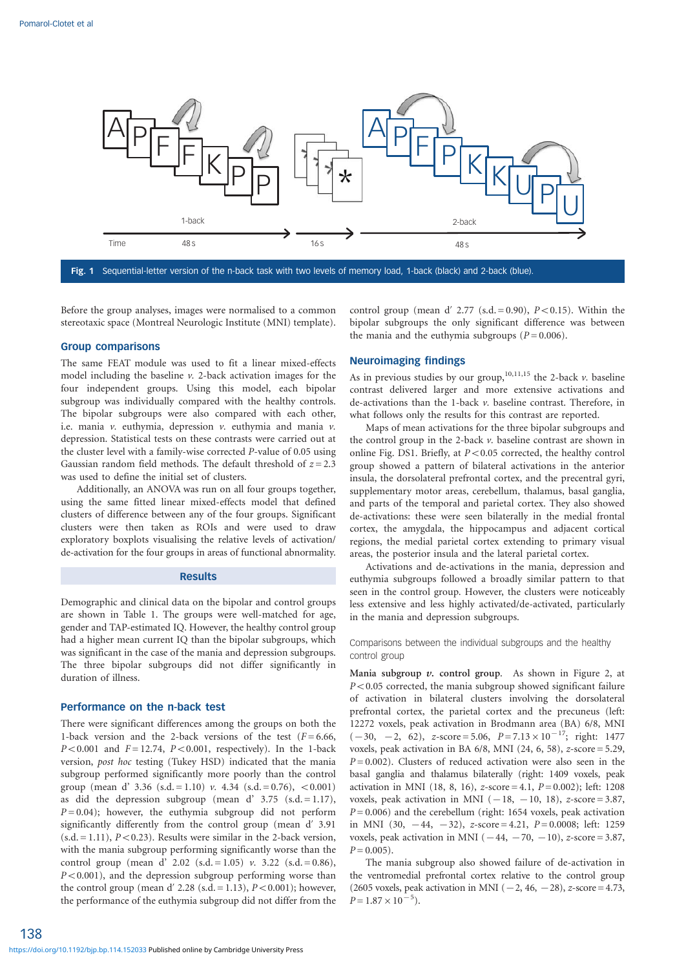

Fig. 1 Sequential-letter version of the n-back task with two levels of memory load, 1-back (black) and 2-back (blue).

Before the group analyses, images were normalised to a common stereotaxic space (Montreal Neurologic Institute (MNI) template).

# Group comparisons

The same FEAT module was used to fit a linear mixed-effects model including the baseline  $\nu$ . 2-back activation images for the four independent groups. Using this model, each bipolar subgroup was individually compared with the healthy controls. The bipolar subgroups were also compared with each other, i.e. mania  $\nu$ . euthymia, depression  $\nu$ . euthymia and mania  $\nu$ . depression. Statistical tests on these contrasts were carried out at the cluster level with a family-wise corrected P-value of 0.05 using Gaussian random field methods. The default threshold of  $z = 2.3$ was used to define the initial set of clusters.

Additionally, an ANOVA was run on all four groups together, using the same fitted linear mixed-effects model that defined clusters of difference between any of the four groups. Significant clusters were then taken as ROIs and were used to draw exploratory boxplots visualising the relative levels of activation/ de-activation for the four groups in areas of functional abnormality.

## Results

Demographic and clinical data on the bipolar and control groups are shown in Table 1. The groups were well-matched for age, gender and TAP-estimated IQ. However, the healthy control group had a higher mean current IQ than the bipolar subgroups, which was significant in the case of the mania and depression subgroups. The three bipolar subgroups did not differ significantly in duration of illness.

#### Performance on the n-back test

There were significant differences among the groups on both the 1-back version and the 2-back versions of the test  $(F = 6.66,$  $P<0.001$  and  $F = 12.74$ ,  $P<0.001$ , respectively). In the 1-back version, post hoc testing (Tukey HSD) indicated that the mania subgroup performed significantly more poorly than the control group (mean d' 3.36 (s.d. = 1.10) v. 4.34 (s.d. = 0.76),  $\lt$  0.001) as did the depression subgroup (mean d'  $3.75$  (s.d. = 1.17),  $P = 0.04$ ); however, the euthymia subgroup did not perform significantly differently from the control group (mean d' 3.91  $(s.d. = 1.11)$ ,  $P < 0.23$ ). Results were similar in the 2-back version, with the mania subgroup performing significantly worse than the control group (mean d' 2.02 (s.d. = 1.05) v. 3.22 (s.d. = 0.86),  $P<0.001$ ), and the depression subgroup performing worse than the control group (mean d' 2.28 (s.d. = 1.13),  $P < 0.001$ ); however, the performance of the euthymia subgroup did not differ from the

control group (mean d' 2.77 (s.d. = 0.90),  $P < 0.15$ ). Within the bipolar subgroups the only significant difference was between the mania and the euthymia subgroups ( $P = 0.006$ ).

#### Neuroimaging findings

As in previous studies by our group,  $10,11,15$  the 2-back v. baseline contrast delivered larger and more extensive activations and de-activations than the 1-back v. baseline contrast. Therefore, in what follows only the results for this contrast are reported.

Maps of mean activations for the three bipolar subgroups and the control group in the 2-back  $\nu$ . baseline contrast are shown in online Fig. DS1. Briefly, at  $P<0.05$  corrected, the healthy control group showed a pattern of bilateral activations in the anterior insula, the dorsolateral prefrontal cortex, and the precentral gyri, supplementary motor areas, cerebellum, thalamus, basal ganglia, and parts of the temporal and parietal cortex. They also showed de-activations: these were seen bilaterally in the medial frontal cortex, the amygdala, the hippocampus and adjacent cortical regions, the medial parietal cortex extending to primary visual areas, the posterior insula and the lateral parietal cortex.

Activations and de-activations in the mania, depression and euthymia subgroups followed a broadly similar pattern to that seen in the control group. However, the clusters were noticeably less extensive and less highly activated/de-activated, particularly in the mania and depression subgroups.

Comparisons between the individual subgroups and the healthy control group

Mania subgroup  $v$ . control group. As shown in Figure 2, at  $P$ <0.05 corrected, the mania subgroup showed significant failure of activation in bilateral clusters involving the dorsolateral prefrontal cortex, the parietal cortex and the precuneus (left: 12272 voxels, peak activation in Brodmann area (BA) 6/8, MNI  $(-30, -2, 62)$ , z-score = 5.06,  $P = 7.13 \times 10^{-17}$ ; right: 1477 voxels, peak activation in BA 6/8, MNI (24, 6, 58), z-score = 5.29,  $P = 0.002$ ). Clusters of reduced activation were also seen in the basal ganglia and thalamus bilaterally (right: 1409 voxels, peak activation in MNI (18, 8, 16),  $z$ -score = 4.1,  $P = 0.002$ ); left: 1208 voxels, peak activation in MNI  $(-18, -10, 18)$ , z-score = 3.87,  $P = 0.006$ ) and the cerebellum (right: 1654 voxels, peak activation in MNI (30,  $-44$ ,  $-32$ ),  $z$ -score = 4.21,  $P = 0.0008$ ; left: 1259 voxels, peak activation in MNI ( $-44$ ,  $-70$ ,  $-10$ ), z-score = 3.87,  $P = 0.005$ ).

The mania subgroup also showed failure of de-activation in the ventromedial prefrontal cortex relative to the control group (2605 voxels, peak activation in MNI ( $-2$ , 46,  $-28$ ), z-score = 4.73,  $P = 1.87 \times 10^{-5}$ ).

138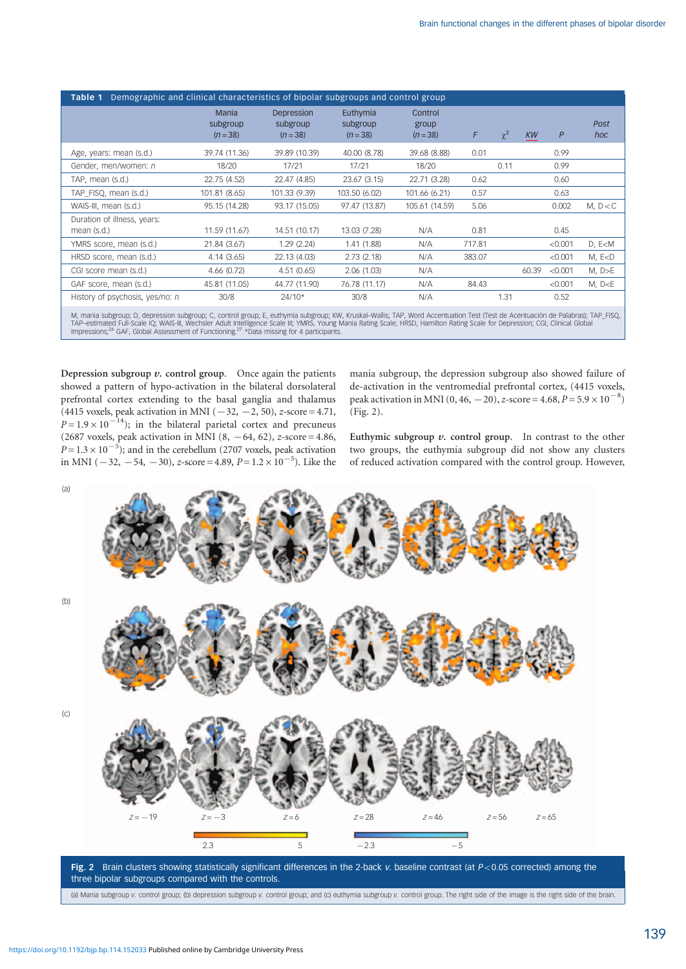| Demographic and clinical characteristics of bipolar subgroups and control group<br>Table 1 |                               |                                    |                                  |                              |        |          |       |         |                      |
|--------------------------------------------------------------------------------------------|-------------------------------|------------------------------------|----------------------------------|------------------------------|--------|----------|-------|---------|----------------------|
|                                                                                            | Mania<br>subgroup<br>$(n=38)$ | Depression<br>subgroup<br>$(n=38)$ | Euthymia<br>subgroup<br>$(n=38)$ | Control<br>group<br>$(n=38)$ | F      | $\chi^2$ | KW    | P       | Post<br>hoc          |
| Age, years: mean (s.d.)                                                                    | 39.74 (11.36)                 | 39.89 (10.39)                      | 40.00 (8.78)                     | 39.68 (8.88)                 | 0.01   |          |       | 0.99    |                      |
| Gender, men/women: n                                                                       | 18/20                         | 17/21                              | 17/21                            | 18/20                        |        | 0.11     |       | 0.99    |                      |
| TAP, mean (s.d.)                                                                           | 22.75 (4.52)                  | 22.47 (4.85)                       | 23.67 (3.15)                     | 22.71 (3.28)                 | 0.62   |          |       | 0.60    |                      |
| TAP FISQ, mean (s.d.)                                                                      | 101.81 (8.65)                 | 101.33 (9.39)                      | 103.50 (6.02)                    | 101.66 (6.21)                | 0.57   |          |       | 0.63    |                      |
| WAIS-III, mean (s.d.)                                                                      | 95.15 (14.28)                 | 93.17 (15.05)                      | 97.47 (13.87)                    | 105.61 (14.59)               | 5.06   |          |       | 0.002   | M, D < C             |
| Duration of illness, years:<br>mean (s.d.)                                                 | 11.59 (11.67)                 | 14.51 (10.17)                      | 13.03 (7.28)                     | N/A                          | 0.81   |          |       | 0.45    |                      |
| YMRS score, mean (s.d.)                                                                    | 21.84 (3.67)                  | 1.29(2.24)                         | 1.41(1.88)                       | N/A                          | 717.81 |          |       | < 0.001 | D, E < M             |
| HRSD score, mean (s.d.)                                                                    | 4.14(3.65)                    | 22.13 (4.03)                       | 2.73(2.18)                       | N/A                          | 383.07 |          |       | < 0.001 | M, E < D             |
| CGI score mean (s.d.)                                                                      | 4.66(0.72)                    | 4.51(0.65)                         | 2.06(1.03)                       | N/A                          |        |          | 60.39 | < 0.001 | M, D>E               |
| GAF score, mean (s.d.)                                                                     | 45.81 (11.05)                 | 44.77 (11.90)                      | 76.78 (11.17)                    | N/A                          | 84.43  |          |       | < 0.001 | M, D <e< td=""></e<> |
| History of psychosis, yes/no: n                                                            | 30/8                          | $24/10*$                           | 30/8                             | N/A                          |        | 1.31     |       | 0.52    |                      |

M, mania subgroup; D, depression subgroup; C, control group; E, euthymia subgroup; KW, Kruskal-Wallis; TAP, Word Accentuation Test (Test de Acentuación de Palabras); TAP\_FISQ,<br>TAP-estimated Full-Scale IQ; WAIS-III, Wechsle

Depression subgroup  $v$ . control group. Once again the patients showed a pattern of hypo-activation in the bilateral dorsolateral prefrontal cortex extending to the basal ganglia and thalamus (4415 voxels, peak activation in MNI  $(-32, -2, 50)$ , z-score = 4.71,  $P = 1.9 \times 10^{-14}$ ; in the bilateral parietal cortex and precuneus (2687 voxels, peak activation in MNI  $(8, -64, 62)$ , z-score = 4.86,  $P = 1.3 \times 10^{-5}$ ); and in the cerebellum (2707 voxels, peak activation in MNI ( $-32, -54, -30$ ), z-score = 4.89,  $P = 1.2 \times 10^{-5}$ ). Like the

mania subgroup, the depression subgroup also showed failure of de-activation in the ventromedial prefrontal cortex, (4415 voxels, peak activation in MNI (0, 46,  $-20$ ), z-score = 4.68,  $P = 5.9 \times 10^{-8}$ ) (Fig. 2).

Euthymic subgroup  $v$ . control group. In contrast to the other two groups, the euthymia subgroup did not show any clusters of reduced activation compared with the control group. However,



Fig. 2 Brain clusters showing statistically significant differences in the 2-back v. baseline contrast (at  $P<0.05$  corrected) among the three bipolar subgroups compared with the controls. (a) Mania subgroup v. control group; (b) depression subgroup v. control group; and (c) euthymia subgroup v. control group. The right side of the image is the right side of the brain.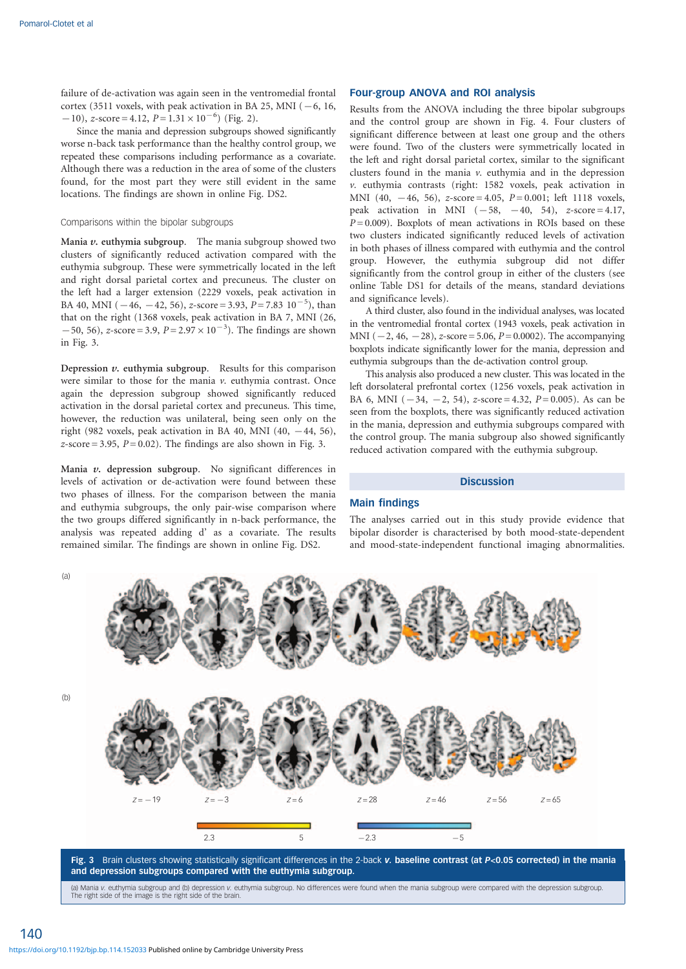failure of de-activation was again seen in the ventromedial frontal cortex (3511 voxels, with peak activation in BA 25, MNI ( $-6$ , 16,  $-10$ ), z-score = 4.12,  $P = 1.31 \times 10^{-6}$  (Fig. 2).

Since the mania and depression subgroups showed significantly worse n-back task performance than the healthy control group, we repeated these comparisons including performance as a covariate. Although there was a reduction in the area of some of the clusters found, for the most part they were still evident in the same locations. The findings are shown in online Fig. DS2.

## Comparisons within the bipolar subgroups

Mania  $v$ . euthymia subgroup. The mania subgroup showed two clusters of significantly reduced activation compared with the euthymia subgroup. These were symmetrically located in the left and right dorsal parietal cortex and precuneus. The cluster on the left had a larger extension (2229 voxels, peak activation in BA 40, MNI ( $-46$ ,  $-42$ , 56), z-score = 3.93,  $P = 7.83 \times 10^{-5}$ ), than that on the right (1368 voxels, peak activation in BA 7, MNI (26,  $-50$ , 56), z-score = 3.9,  $P = 2.97 \times 10^{-3}$ ). The findings are shown in Fig. 3.

Depression  $v$ . euthymia subgroup. Results for this comparison were similar to those for the mania  $\nu$ . euthymia contrast. Once again the depression subgroup showed significantly reduced activation in the dorsal parietal cortex and precuneus. This time, however, the reduction was unilateral, being seen only on the right (982 voxels, peak activation in BA 40, MNI (40,  $-44$ , 56), z-score = 3.95,  $P = 0.02$ ). The findings are also shown in Fig. 3.

Mania  $v$ . depression subgroup. No significant differences in levels of activation or de-activation were found between these two phases of illness. For the comparison between the mania and euthymia subgroups, the only pair-wise comparison where the two groups differed significantly in n-back performance, the analysis was repeated adding d' as a covariate. The results remained similar. The findings are shown in online Fig. DS2.

## Four-group ANOVA and ROI analysis

Results from the ANOVA including the three bipolar subgroups and the control group are shown in Fig. 4. Four clusters of significant difference between at least one group and the others were found. Two of the clusters were symmetrically located in the left and right dorsal parietal cortex, similar to the significant clusters found in the mania  $\nu$ . euthymia and in the depression v. euthymia contrasts (right: 1582 voxels, peak activation in MNI (40,  $-46$ , 56), z-score = 4.05, P = 0.001; left 1118 voxels, peak activation in MNI  $(-58, -40, 54)$ , z-score = 4.17,  $P = 0.009$ ). Boxplots of mean activations in ROIs based on these two clusters indicated significantly reduced levels of activation in both phases of illness compared with euthymia and the control group. However, the euthymia subgroup did not differ significantly from the control group in either of the clusters (see online Table DS1 for details of the means, standard deviations and significance levels).

A third cluster, also found in the individual analyses, was located in the ventromedial frontal cortex (1943 voxels, peak activation in MNI ( $-2$ , 46,  $-28$ ), z-score = 5.06, P = 0.0002). The accompanying boxplots indicate significantly lower for the mania, depression and euthymia subgroups than the de-activation control group.

This analysis also produced a new cluster. This was located in the left dorsolateral prefrontal cortex (1256 voxels, peak activation in BA 6, MNI  $(-34, -2, 54)$ , z-score = 4.32, P = 0.005). As can be seen from the boxplots, there was significantly reduced activation in the mania, depression and euthymia subgroups compared with the control group. The mania subgroup also showed significantly reduced activation compared with the euthymia subgroup.

#### **Discussion**

# Main findings

The analyses carried out in this study provide evidence that bipolar disorder is characterised by both mood-state-dependent and mood-state-independent functional imaging abnormalities.

 $(b)$ 

(a)



Fig. 3 Brain clusters showing statistically significant differences in the 2-back v. baseline contrast (at P<0.05 corrected) in the mania and depression subgroups compared with the euthymia subgroup.

(a) Mania v. euthymia subgroup and (b) depression v. euthymia subgroup. No differences were found when the mania subgroup were compared with the depression subgroup.<br>The right side of the image is the right side of the bra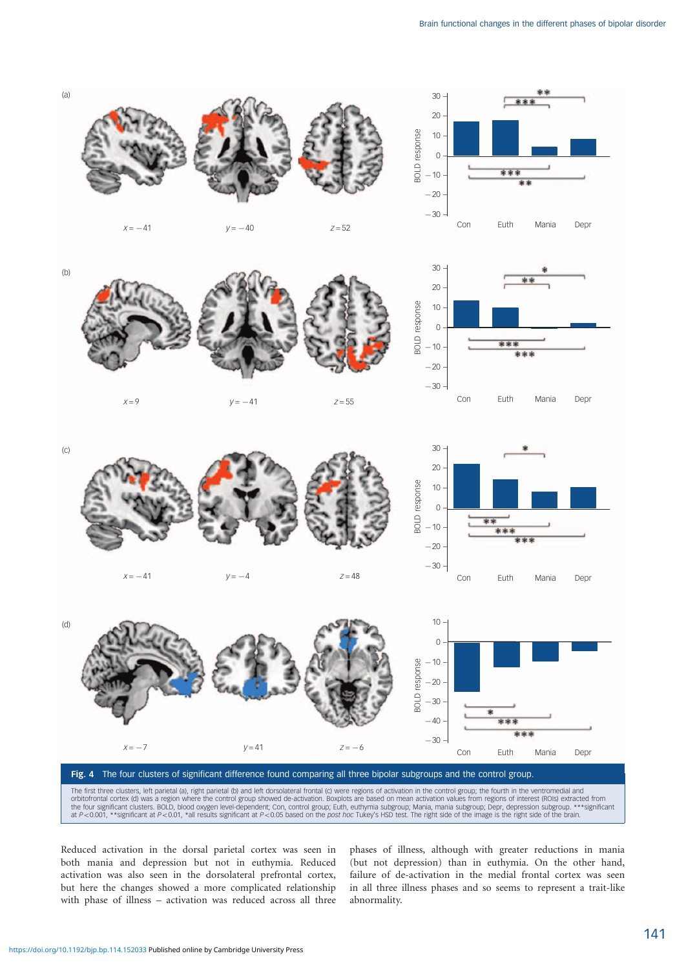30 –



The first three clusters, left parietal (a), right parietal (b) and left dorsolateral frontal (c) were regions of activation in the control group; the fourth in the ventromedial and<br>orbitofrontal cortex (d) was a region wh

Reduced activation in the dorsal parietal cortex was seen in both mania and depression but not in euthymia. Reduced activation was also seen in the dorsolateral prefrontal cortex, but here the changes showed a more complicated relationship with phase of illness – activation was reduced across all three phases of illness, although with greater reductions in mania (but not depression) than in euthymia. On the other hand, failure of de-activation in the medial frontal cortex was seen in all three illness phases and so seems to represent a trait-like abnormality.

(a)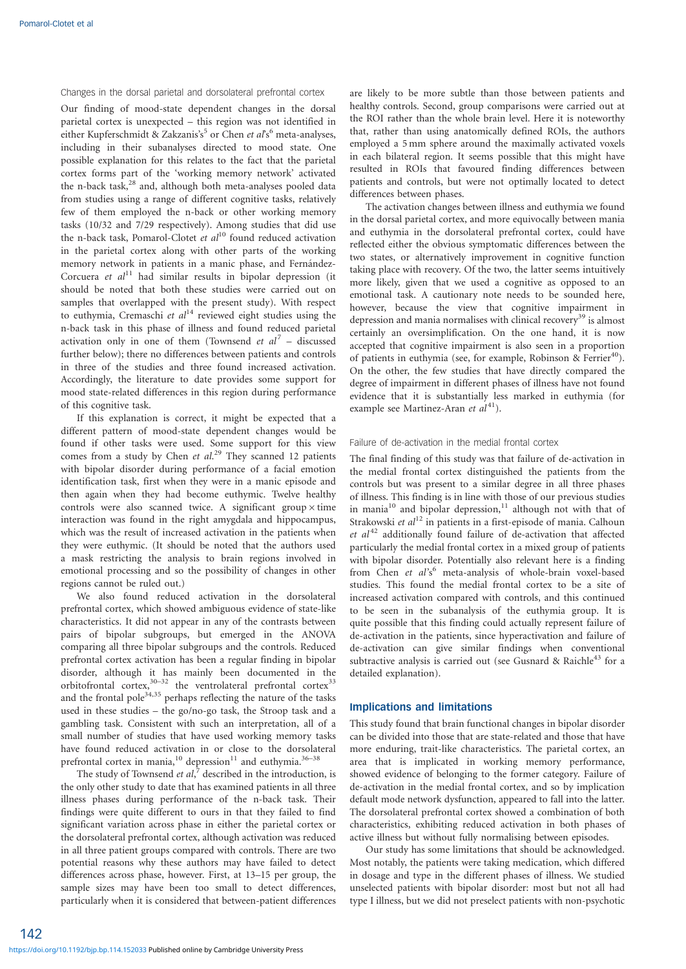#### Changes in the dorsal parietal and dorsolateral prefrontal cortex

Our finding of mood-state dependent changes in the dorsal parietal cortex is unexpected – this region was not identified in either Kupferschmidt & Zakzanis's<sup>5</sup> or Chen et alg<sup>6</sup> meta-analyses, including in their subanalyses directed to mood state. One possible explanation for this relates to the fact that the parietal cortex forms part of the 'working memory network' activated the n-back task,<sup>28</sup> and, although both meta-analyses pooled data from studies using a range of different cognitive tasks, relatively few of them employed the n-back or other working memory tasks (10/32 and 7/29 respectively). Among studies that did use the n-back task, Pomarol-Clotet et  $al^{10}$  found reduced activation in the parietal cortex along with other parts of the working memory network in patients in a manic phase, and Fernández-Corcuera et  $al<sup>11</sup>$  had similar results in bipolar depression (it should be noted that both these studies were carried out on samples that overlapped with the present study). With respect to euthymia, Cremaschi et  $al^{14}$  reviewed eight studies using the n-back task in this phase of illness and found reduced parietal activation only in one of them (Townsend et  $al^7$  – discussed further below); there no differences between patients and controls in three of the studies and three found increased activation. Accordingly, the literature to date provides some support for mood state-related differences in this region during performance of this cognitive task.

If this explanation is correct, it might be expected that a different pattern of mood-state dependent changes would be found if other tasks were used. Some support for this view comes from a study by Chen et al.<sup>29</sup> They scanned 12 patients with bipolar disorder during performance of a facial emotion identification task, first when they were in a manic episode and then again when they had become euthymic. Twelve healthy controls were also scanned twice. A significant group  $\times$  time interaction was found in the right amygdala and hippocampus, which was the result of increased activation in the patients when they were euthymic. (It should be noted that the authors used a mask restricting the analysis to brain regions involved in emotional processing and so the possibility of changes in other regions cannot be ruled out.)

We also found reduced activation in the dorsolateral prefrontal cortex, which showed ambiguous evidence of state-like characteristics. It did not appear in any of the contrasts between pairs of bipolar subgroups, but emerged in the ANOVA comparing all three bipolar subgroups and the controls. Reduced prefrontal cortex activation has been a regular finding in bipolar disorder, although it has mainly been documented in the orbitofrontal cortex,  $30-32$  the ventrolateral prefrontal cortex<sup>33</sup> and the frontal pole<sup>34,35</sup> perhaps reflecting the nature of the tasks used in these studies – the go/no-go task, the Stroop task and a gambling task. Consistent with such an interpretation, all of a small number of studies that have used working memory tasks have found reduced activation in or close to the dorsolateral prefrontal cortex in mania,<sup>10</sup> depression<sup>11</sup> and euthymia.<sup>36-38</sup>

The study of Townsend et al,  $\bar{7}$  described in the introduction, is the only other study to date that has examined patients in all three illness phases during performance of the n-back task. Their findings were quite different to ours in that they failed to find significant variation across phase in either the parietal cortex or the dorsolateral prefrontal cortex, although activation was reduced in all three patient groups compared with controls. There are two potential reasons why these authors may have failed to detect differences across phase, however. First, at 13–15 per group, the sample sizes may have been too small to detect differences, particularly when it is considered that between-patient differences are likely to be more subtle than those between patients and healthy controls. Second, group comparisons were carried out at the ROI rather than the whole brain level. Here it is noteworthy that, rather than using anatomically defined ROIs, the authors employed a 5 mm sphere around the maximally activated voxels in each bilateral region. It seems possible that this might have resulted in ROIs that favoured finding differences between patients and controls, but were not optimally located to detect differences between phases.

The activation changes between illness and euthymia we found in the dorsal parietal cortex, and more equivocally between mania and euthymia in the dorsolateral prefrontal cortex, could have reflected either the obvious symptomatic differences between the two states, or alternatively improvement in cognitive function taking place with recovery. Of the two, the latter seems intuitively more likely, given that we used a cognitive as opposed to an emotional task. A cautionary note needs to be sounded here, however, because the view that cognitive impairment in depression and mania normalises with clinical recovery<sup>39</sup> is almost certainly an oversimplification. On the one hand, it is now accepted that cognitive impairment is also seen in a proportion of patients in euthymia (see, for example, Robinson & Ferrier<sup>40</sup>). On the other, the few studies that have directly compared the degree of impairment in different phases of illness have not found evidence that it is substantially less marked in euthymia (for example see Martinez-Aran et  $al^{41}$ ).

#### Failure of de-activation in the medial frontal cortex

The final finding of this study was that failure of de-activation in the medial frontal cortex distinguished the patients from the controls but was present to a similar degree in all three phases of illness. This finding is in line with those of our previous studies in mania $10$  and bipolar depression, $11$  although not with that of Strakowski et  $al^{12}$  in patients in a first-episode of mania. Calhoun et  $al^{42}$  additionally found failure of de-activation that affected particularly the medial frontal cortex in a mixed group of patients with bipolar disorder. Potentially also relevant here is a finding from Chen et al's<sup>6</sup> meta-analysis of whole-brain voxel-based studies. This found the medial frontal cortex to be a site of increased activation compared with controls, and this continued to be seen in the subanalysis of the euthymia group. It is quite possible that this finding could actually represent failure of de-activation in the patients, since hyperactivation and failure of de-activation can give similar findings when conventional subtractive analysis is carried out (see Gusnard & Raichle<sup>43</sup> for a detailed explanation).

### Implications and limitations

This study found that brain functional changes in bipolar disorder can be divided into those that are state-related and those that have more enduring, trait-like characteristics. The parietal cortex, an area that is implicated in working memory performance, showed evidence of belonging to the former category. Failure of de-activation in the medial frontal cortex, and so by implication default mode network dysfunction, appeared to fall into the latter. The dorsolateral prefrontal cortex showed a combination of both characteristics, exhibiting reduced activation in both phases of active illness but without fully normalising between episodes.

Our study has some limitations that should be acknowledged. Most notably, the patients were taking medication, which differed in dosage and type in the different phases of illness. We studied unselected patients with bipolar disorder: most but not all had type I illness, but we did not preselect patients with non-psychotic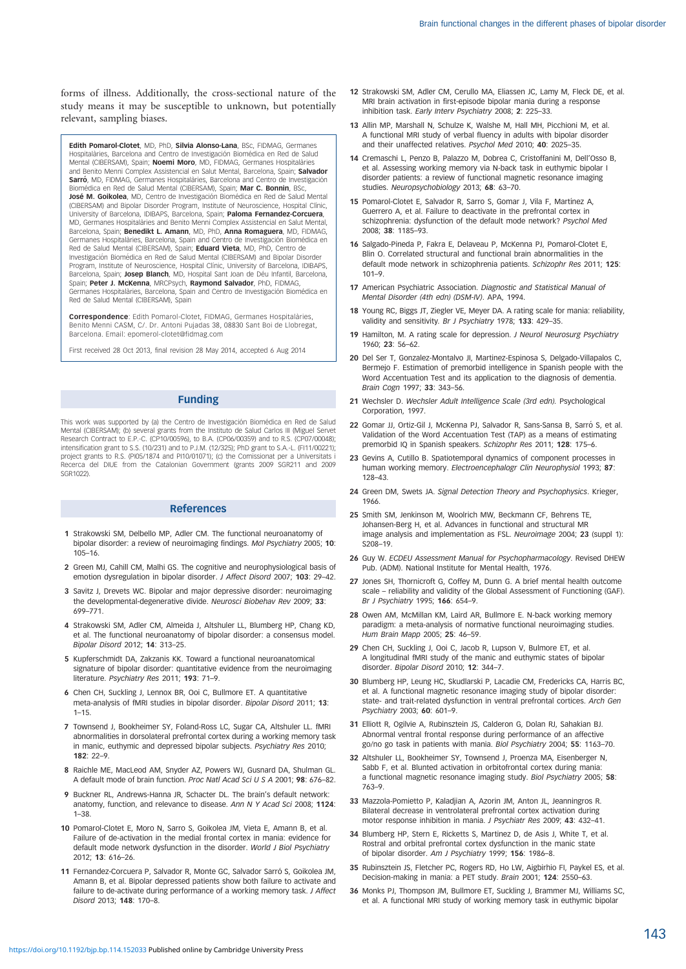forms of illness. Additionally, the cross-sectional nature of the study means it may be susceptible to unknown, but potentially relevant, sampling biases.

Edith Pomarol-Clotet, MD, PhD, Silvia Alonso-Lana, BSc, FIDMAG, Germanes Hospitalàries, Barcelona and Centro de Investigación Biomédica en Red de Salud<br>Mental (CIBERSAM), Spain; **Noemi Moro**, MD, FIDMAG, Germanes Hospitalàries and Benito Menni Complex Assistencial en Salut Mental, Barcelona, Spain; Salvador Sarró, MD, FIDMAG, Germanes Hospitalàries, Barcelona and Centro de Investigación Biomédica en Red de Salud Mental (CIBERSAM), Spain: Mar C. Bonnin, BSc José M. Goikolea, MD, Centro de Investigación Biomédica en Red de Salud Mental (CIBERSAM) and Bipolar Disorder Program, Institute of Neuroscience, Hospital Clínic,<br>University of Barcelona, IDIBAPS, Barcelona, Spain; **Paloma Fernandez-Corcuera,** MD, Germanes Hospitala`ries and Benito Menni Complex Assistencial en Salut Mental, Barcelona, Spain; Benedikt L. Amann, MD, PhD, Anna Romaguera, MD, FIDMAG, Germanes Hospitalàries, Barcelona, Spain and Centro de Investigación Biomédica en Red de Salud Mental (CIBERSAM), Spain; Eduard Vieta, MD, PhD, Centro de Investigación Biomédica en Red de Salud Mental (CIBERSAM) and Bipolar Disorder Program, Institute of Neuroscience, Hospital Clínic, University of Barcelona, IDIBAPS, Barcelona, Spain; Josep Blanch, MD, Hospital Sant Joan de Déu Infantil, Barcelona, Spain; **Peter J. McKenna,** MRCPsych, **Raymond Salvador**, PhD, FIDMAG,<br>Germanes Hospitalàries, Barcelona, Spain and Centro de Investigación Biomédica en Red de Salud Mental (CIBERSAM), Spain

Correspondence: Edith Pomarol-Clotet, FIDMAG, Germanes Hospitalàries, Benito Menni CASM, C/. Dr. Antoni Pujadas 38, 08830 Sant Boi de Llobregat, Barcelona. Email: epomerol-clotet@fidmag.com

First received 28 Oct 2013, final revision 28 May 2014, accepted 6 Aug 2014

#### Funding

This work was supported by (a) the Centro de Investigación Biomédica en Red de Salud Mental (CIBERSAM); (b) several grants from the Instituto de Salud Carlos III (Miguel Servet Research Contract to E.P.-C. (CP10/00596), to B.A. (CP06/00359) and to R.S. (CP07/00048); intensification grant to S.S. (10/231) and to P.J.M. (12/325); PhD grant to S.A.-L. (FI11/00221); project grants to R.S. (PI05/1874 and PI10/01071); (c) the Comissionat per a Universitats i Recerca del DIUE from the Catalonian Government (grants 2009 SGR211 and 2009 SGR1022).

## References

- 1 Strakowski SM, Delbello MP, Adler CM. The functional neuroanatomy of bipolar disorder: a review of neuroimaging findings. Mol Psychiatry 2005; 10: 105–16.
- 2 Green MJ, Cahill CM, Malhi GS. The cognitive and neurophysiological basis of emotion dysregulation in bipolar disorder. J Affect Disord 2007; 103: 29–42.
- 3 Savitz J, Drevets WC. Bipolar and major depressive disorder: neuroimaging the developmental-degenerative divide. Neurosci Biobehav Rev 2009; 33: 699–771.
- 4 Strakowski SM, Adler CM, Almeida J, Altshuler LL, Blumberg HP, Chang KD, et al. The functional neuroanatomy of bipolar disorder: a consensus model. Bipolar Disord 2012; 14: 313–25.
- 5 Kupferschmidt DA, Zakzanis KK. Toward a functional neuroanatomical signature of bipolar disorder: quantitative evidence from the neuroimaging literature. Psychiatry Res 2011: 193: 71-9.
- 6 Chen CH, Suckling J, Lennox BR, Ooi C, Bullmore ET. A quantitative meta-analysis of fMRI studies in bipolar disorder. Bipolar Disord 2011; 13: 1–15.
- 7 Townsend J, Bookheimer SY, Foland-Ross LC, Sugar CA, Altshuler LL. fMRI abnormalities in dorsolateral prefrontal cortex during a working memory task in manic, euthymic and depressed bipolar subjects. Psychiatry Res 2010;  $182.22 - 9$
- 8 Raichle ME, MacLeod AM, Snyder AZ, Powers WJ, Gusnard DA, Shulman GL. A default mode of brain function. Proc Natl Acad Sci U S A 2001; 98: 676–82.
- 9 Buckner RL, Andrews-Hanna JR, Schacter DL. The brain's default network: anatomy, function, and relevance to disease. Ann N Y Acad Sci 2008; 1124: 1–38.
- 10 Pomarol-Clotet E, Moro N, Sarro S, Goikolea JM, Vieta E, Amann B, et al. Failure of de-activation in the medial frontal cortex in mania: evidence for default mode network dysfunction in the disorder. World J Biol Psychiatry 2012; 13: 616–26.
- 11 Fernandez-Corcuera P, Salvador R, Monte GC, Salvador Sarró S, Goikolea JM, Amann B, et al. Bipolar depressed patients show both failure to activate and failure to de-activate during performance of a working memory task. J Affect Disord 2013; 148: 170–8.
- 12 Strakowski SM, Adler CM, Cerullo MA, Eliassen JC, Lamy M, Fleck DE, et al. MRI brain activation in first-episode bipolar mania during a response inhibition task. Early Interv Psychiatry 2008; 2: 225–33.
- 13 Allin MP, Marshall N, Schulze K, Walshe M, Hall MH, Picchioni M, et al. A functional MRI study of verbal fluency in adults with bipolar disorder and their unaffected relatives. Psychol Med 2010; 40: 2025–35.
- 14 Cremaschi L, Penzo B, Palazzo M, Dobrea C, Cristoffanini M, Dell'Osso B, et al. Assessing working memory via N-back task in euthymic bipolar I disorder patients: a review of functional magnetic resonance imaging studies. Neuropsychobiology 2013; 68: 63–70.
- 15 Pomarol-Clotet E, Salvador R, Sarro S, Gomar J, Vila F, Martínez A, Guerrero A, et al. Failure to deactivate in the prefrontal cortex in schizophrenia: dysfunction of the default mode network? Psychol Med 2008; 38: 1185–93.
- 16 Salgado-Pineda P, Fakra E, Delaveau P, McKenna PJ, Pomarol-Clotet E, Blin O. Correlated structural and functional brain abnormalities in the default mode network in schizophrenia patients. Schizophr Res 2011; 125:  $101 - 9$
- 17 American Psychiatric Association. Diagnostic and Statistical Manual of Mental Disorder (4th edn) (DSM-IV). APA, 1994.
- 18 Young RC, Biggs JT, Ziegler VE, Meyer DA. A rating scale for mania: reliability, validity and sensitivity. Br J Psychiatry 1978; 133: 429-35.
- 19 Hamilton, M. A rating scale for depression. J Neurol Neurosurg Psychiatry 1960; 23: 56–62.
- 20 Del Ser T, Gonzalez-Montalvo JI, Martinez-Espinosa S, Delgado-Villapalos C, Bermejo F. Estimation of premorbid intelligence in Spanish people with the Word Accentuation Test and its application to the diagnosis of dementia. Brain Cogn 1997; 33: 343–56.
- 21 Wechsler D. Wechsler Adult Intelligence Scale (3rd edn). Psychological Corporation, 1997.
- 22 Gomar JJ, Ortiz-Gil J, McKenna PJ, Salvador R, Sans-Sansa B, Sarró S, et al. Validation of the Word Accentuation Test (TAP) as a means of estimating premorbid IQ in Spanish speakers. Schizophr Res 2011; 128: 175–6.
- 23 Gevins A, Cutillo B. Spatiotemporal dynamics of component processes in human working memory. Electroencephalogr Clin Neurophysiol 1993; 87: 128–43.
- 24 Green DM, Swets JA, Signal Detection Theory and Psychophysics, Krieger, 1966.
- 25 Smith SM, Jenkinson M, Woolrich MW, Beckmann CF, Behrens TE, Johansen-Berg H, et al. Advances in functional and structural MR image analysis and implementation as FSL. Neuroimage 2004; 23 (suppl 1): S208–19.
- 26 Guy W. ECDEU Assessment Manual for Psychopharmacology. Revised DHEW Pub. (ADM). National Institute for Mental Health, 1976.
- 27 Jones SH, Thornicroft G, Coffey M, Dunn G. A brief mental health outcome scale – reliability and validity of the Global Assessment of Functioning (GAF). Br J Psychiatry 1995; 166: 654–9.
- 28 Owen AM, McMillan KM, Laird AR, Bullmore E. N-back working memory paradigm: a meta-analysis of normative functional neuroimaging studies. Hum Brain Mapp 2005; 25: 46–59.
- 29 Chen CH, Suckling J, Ooi C, Jacob R, Lupson V, Bulmore ET, et al. A longitudinal fMRI study of the manic and euthymic states of bipolar disorder. Bipolar Disord 2010; 12: 344–7.
- 30 Blumberg HP, Leung HC, Skudlarski P, Lacadie CM, Fredericks CA, Harris BC, et al. A functional magnetic resonance imaging study of bipolar disorder: state- and trait-related dysfunction in ventral prefrontal cortices. Arch Gen Psychiatry 2003; 60: 601–9.
- 31 Elliott R, Ogilvie A, Rubinsztein JS, Calderon G, Dolan RJ, Sahakian BJ. Abnormal ventral frontal response during performance of an affective go/no go task in patients with mania. Biol Psychiatry 2004; 55: 1163–70.
- 32 Altshuler LL, Bookheimer SY, Townsend J, Proenza MA, Eisenberger N, Sabb F, et al. Blunted activation in orbitofrontal cortex during mania: a functional magnetic resonance imaging study. Biol Psychiatry 2005; 58: 763–9.
- 33 Mazzola-Pomietto P, Kaladjian A, Azorin JM, Anton JL, Jeanningros R. Bilateral decrease in ventrolateral prefrontal cortex activation during motor response inhibition in mania. J Psychiatr Res 2009; 43: 432–41.
- 34 Blumberg HP, Stern E, Ricketts S, Martinez D, de Asis J, White T, et al. Rostral and orbital prefrontal cortex dysfunction in the manic state of bipolar disorder. Am J Psychiatry 1999; 156: 1986–8.
- 35 Rubinsztein JS, Fletcher PC, Rogers RD, Ho LW, Aigbirhio FI, Paykel ES, et al. Decision-making in mania: a PET study. Brain 2001; 124: 2550–63.
- 36 Monks PJ, Thompson JM, Bullmore ET, Suckling J, Brammer MJ, Williams SC, et al. A functional MRI study of working memory task in euthymic bipolar